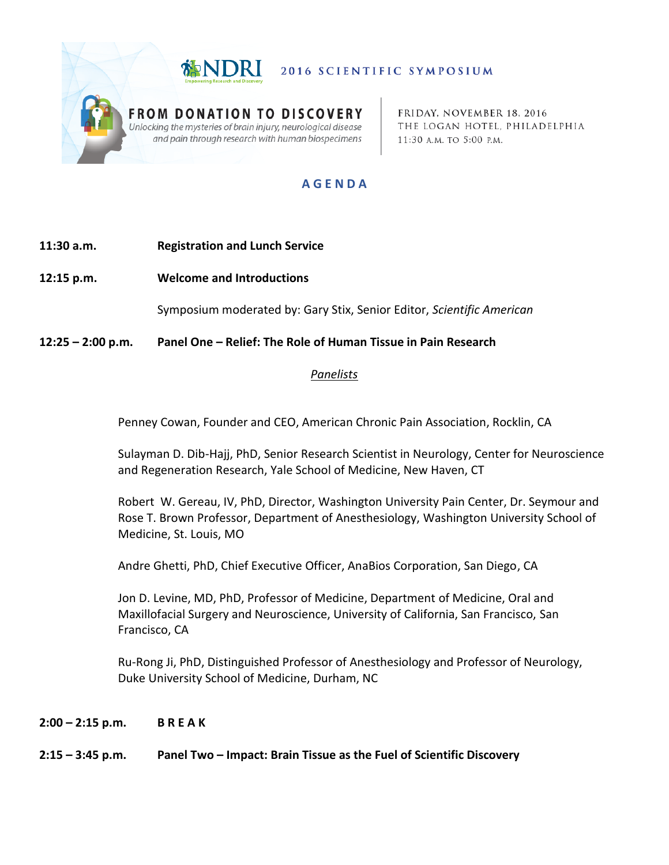

2016 SCIENTIFIC SYMPOSIUM

**FROM DONATION TO DISCOVERY** Unlocking the mysteries of brain injury, neurological disease and pain through research with human biospecimens

FRIDAY. NOVEMBER 18, 2016 THE LOGAN HOTEL, PHILADELPHIA 11:30 A.M. TO 5:00 P.M.

# **A G E N D A**

## **11:30 a.m. Registration and Lunch Service**

**12:15 p.m. Welcome and Introductions**

Symposium moderated by: Gary Stix, Senior Editor, *Scientific American*

**12:25 – 2:00 p.m. Panel One – Relief: The Role of Human Tissue in Pain Research**

#### *Panelists*

Penney Cowan, Founder and CEO, American Chronic Pain Association, Rocklin, CA

Sulayman D. Dib-Hajj, PhD, Senior Research Scientist in Neurology, Center for Neuroscience and Regeneration Research, Yale School of Medicine, New Haven, CT

Robert W. Gereau, IV, PhD, Director, Washington University Pain Center, Dr. Seymour and Rose T. Brown Professor, Department of Anesthesiology, Washington University School of Medicine, St. Louis, MO

Andre Ghetti, PhD, Chief Executive Officer, AnaBios Corporation, San Diego, CA

Jon D. Levine, MD, PhD, Professor of Medicine, Department of Medicine, Oral and Maxillofacial Surgery and Neuroscience, University of California, San Francisco, San Francisco, CA

Ru-Rong Ji, PhD, Distinguished Professor of Anesthesiology and Professor of Neurology, Duke University School of Medicine, Durham, NC

**2:00 – 2:15 p.m. B R E A K** 

#### **2:15 – 3:45 p.m. Panel Two – Impact: Brain Tissue as the Fuel of Scientific Discovery**